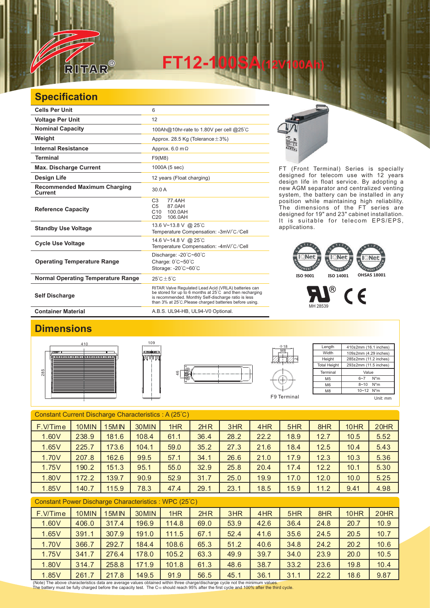

**FT12-100** 

### **Specification**

| <b>Cells Per Unit</b>                     | 6                                                                                                                                                                                                                                   |  |  |  |  |  |
|-------------------------------------------|-------------------------------------------------------------------------------------------------------------------------------------------------------------------------------------------------------------------------------------|--|--|--|--|--|
| <b>Voltage Per Unit</b>                   | 12                                                                                                                                                                                                                                  |  |  |  |  |  |
| <b>Nominal Capacity</b>                   | 100Ah@10hr-rate to 1.80V per cell @25°C                                                                                                                                                                                             |  |  |  |  |  |
| Weight                                    | Approx. 28.5 Kg (Tolerance $\pm$ 3%)                                                                                                                                                                                                |  |  |  |  |  |
| <b>Internal Resistance</b>                | Approx. $6.0 \text{ m}\Omega$                                                                                                                                                                                                       |  |  |  |  |  |
| <b>Terminal</b>                           | F9(M8)                                                                                                                                                                                                                              |  |  |  |  |  |
| <b>Max. Discharge Current</b>             | 1000A (5 sec)                                                                                                                                                                                                                       |  |  |  |  |  |
| Design Life                               | 12 years (Float charging)                                                                                                                                                                                                           |  |  |  |  |  |
| Recommended Maximum Charging<br>Current   | 30.0 A                                                                                                                                                                                                                              |  |  |  |  |  |
| <b>Reference Capacity</b>                 | C <sub>3</sub><br>77.4AH<br>C <sub>5</sub><br>87.0AH<br>C10<br>100.0AH<br>C <sub>20</sub><br>106.0AH                                                                                                                                |  |  |  |  |  |
| <b>Standby Use Voltage</b>                | 13.6 V~13.8 V @ 25°C<br>Temperature Compensation: -3mV/°C/Cell                                                                                                                                                                      |  |  |  |  |  |
| <b>Cycle Use Voltage</b>                  | 14.6 V~14.8 V @ 25°C<br>Temperature Compensation: -4mV/°C/Cell                                                                                                                                                                      |  |  |  |  |  |
| <b>Operating Temperature Range</b>        | Discharge: -20°C~60°C<br>Charge: 0°C~50°C<br>Storage: -20°C~60°C                                                                                                                                                                    |  |  |  |  |  |
| <b>Normal Operating Temperature Range</b> | $25^{\circ}$ C + 5 $^{\circ}$ C                                                                                                                                                                                                     |  |  |  |  |  |
| <b>Self Discharge</b>                     | RITAR Valve Regulated Lead Acid (VRLA) batteries can<br>be stored for up to 6 months at 25°C and then recharging<br>is recommended. Monthly Self-discharge ratio is less<br>than 3% at 25°C. Please charged batteries before using. |  |  |  |  |  |
| <b>Container Material</b>                 | A.B.S. UL94-HB, UL94-V0 Optional.                                                                                                                                                                                                   |  |  |  |  |  |



FT (Front Terminal) Series is specially designed for telecom use with 12 years design life in float service. By adopting a new AGM separator and centralized venting system, the battery can be installed in any position while maintaining high reliability. The dimensions of the FT series are designed for 19" and 23" cabinet installation. It is suitable for telecom EPS/EPS, applications.

# **ISO 9001 ISO 14001 OHSAS 18001**

 $^{\circledR}$  $\epsilon$ MH 28539

#### **Dimensions**







| Length              | 410±2mm (16.1 inches) |  |  |  |  |  |
|---------------------|-----------------------|--|--|--|--|--|
| Width               | 109±2mm (4.29 inches) |  |  |  |  |  |
| Height              | 285±2mm (11.2 inches) |  |  |  |  |  |
| <b>Total Height</b> | 293±2mm (11.5 inches) |  |  |  |  |  |
| Terminal            | Value                 |  |  |  |  |  |
| M <sub>5</sub>      | $N^*m$<br>$6 - 7$     |  |  |  |  |  |
|                     |                       |  |  |  |  |  |
| M <sub>6</sub>      | $N^*m$<br>$8 - 10$    |  |  |  |  |  |
| M <sub>8</sub>      | 10~12 N*m             |  |  |  |  |  |

| Constant Current Discharge Characteristics : A (25°C) |       |              |       |      |      |      |      |      |      |             |      |
|-------------------------------------------------------|-------|--------------|-------|------|------|------|------|------|------|-------------|------|
| F.V/Time                                              | 10MIN | <b>15MIN</b> | 30MIN | 1HR  | 2HR  | 3HR  | 4HR  | 5HR  | 8HR  | <b>10HR</b> | 20HR |
| 1.60V                                                 | 238.9 | 181.6        | 108.4 | 61.1 | 36.4 | 28.2 | 22.2 | 18.9 | 12.7 | 10.5        | 5.52 |
| 1.65V                                                 | 225.7 | 173.6        | 104.1 | 59.0 | 35.2 | 27.3 | 21.6 | 18.4 | 12.5 | 10.4        | 5.43 |
| 1.70V                                                 | 207.8 | 162.6        | 99.5  | 57.1 | 34.1 | 26.6 | 21.0 | 17.9 | 12.3 | 10.3        | 5.36 |
| 1.75V                                                 | 190.2 | 151.3        | 95.1  | 55.0 | 32.9 | 25.8 | 20.4 | 17.4 | 12.2 | 10.1        | 5.30 |
| 1.80V                                                 | 172.2 | 139.7        | 90.9  | 52.9 | 31.7 | 25.0 | 19.9 | 17.0 | 12.0 | 10.0        | 5.25 |
| 1.85V                                                 | 140.7 | 115.9        | 78.3  | 47.4 | 29.1 | 23.1 | 18.5 | 15.9 | 11.2 | 9.41        | 4.98 |
|                                                       |       |              |       |      |      |      |      |      |      |             |      |

#### Constant Power Discharge Characteristics : WPC (25℃)

| F.V/Time | 10MIN | 5M <sub>IN</sub> | 30MIN | 1HR   | 2HR  | 3HR  | 4HR  | 5HR  | 8HR  | 10HR | 20HR |
|----------|-------|------------------|-------|-------|------|------|------|------|------|------|------|
| 1.60V    | 406.0 | 317.4            | 196.9 | 114.8 | 69.0 | 53.9 | 42.6 | 36.4 | 24.8 | 20.7 | 10.9 |
| 1.65V    | 391.1 | 307.9            | 191.0 | 111.5 | 67.1 | 52.4 | 41.6 | 35.6 | 24.5 | 20.5 | 10.7 |
| 1.70V    | 366.7 | 292.7            | 184.4 | 108.6 | 65.3 | 51.2 | 40.6 | 34.8 | 24.2 | 20.2 | 10.6 |
| 1.75V    | 341.7 | 276.4            | 178.0 | 105.2 | 63.3 | 49.9 | 39.7 | 34.0 | 23.9 | 20.0 | 10.5 |
| 1.80V    | 314.7 | 258.8            | 171.9 | 101.8 | 61.3 | 48.6 | 38.7 | 33.2 | 23.6 | 19.8 | 10.4 |
| 1.85V    | 261.7 | 217.8            | 149.5 | 91.9  | 56.5 | 45.1 | 36.1 | 31.1 | 22.2 | 18.6 | 9.87 |

(Note) The above characteristics data are average values obtained within three charge/discharge cycle not the minimum values.<br>The battery must be fully charged before the capacity test. The Cю should reach 95% after the f